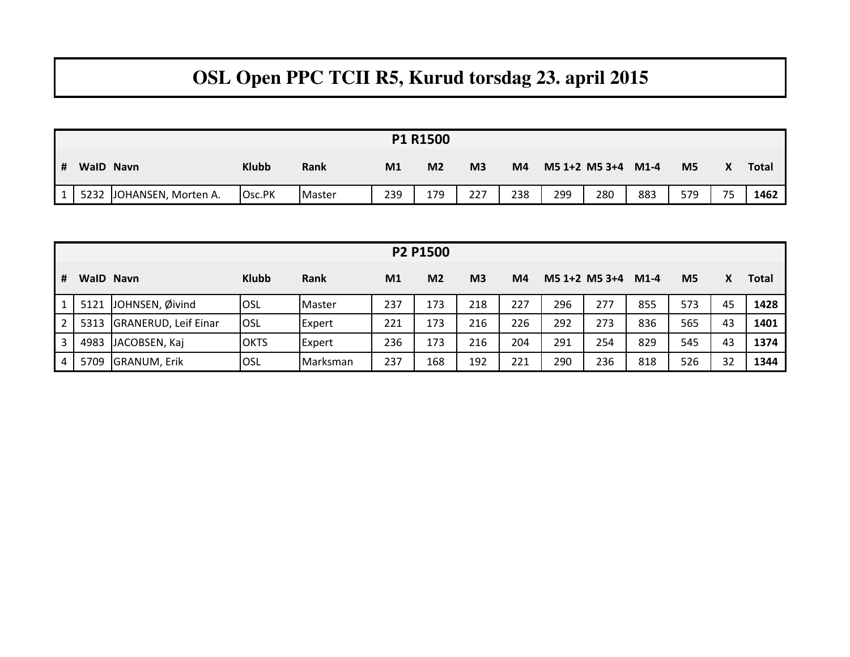## **OSL Open PPC TCII R5, Kurud torsdag 23. april 2015**

|   | <b>P1 R1500</b> |                          |              |        |                |                |                |                |     |                    |     |     |    |              |
|---|-----------------|--------------------------|--------------|--------|----------------|----------------|----------------|----------------|-----|--------------------|-----|-----|----|--------------|
| # |                 | WalD Navn                | <b>Klubb</b> | Rank   | M <sub>1</sub> | M <sub>2</sub> | M <sub>3</sub> | M <sub>4</sub> |     | M5 1+2 M5 3+4 M1-4 |     | M5  |    | <b>Total</b> |
|   |                 | 5232 JOHANSEN, Morten A. | Osc.PK       | Master | 239            | 179            | 227            | 238            | 299 | 280                | 883 | 579 | 75 | 1462         |

|                | P2 P1500 |                             |              |               |                |                |                |                |     |                   |        |                |    |              |
|----------------|----------|-----------------------------|--------------|---------------|----------------|----------------|----------------|----------------|-----|-------------------|--------|----------------|----|--------------|
| #              |          | WalD Navn                   | <b>Klubb</b> | <b>Rank</b>   | M <sub>1</sub> | M <sub>2</sub> | M <sub>3</sub> | M <sub>4</sub> |     | $M5$ 1+2 $M5$ 3+4 | $M1-4$ | M <sub>5</sub> |    | <b>Total</b> |
|                |          | 5121 JOHNSEN, Øivind        | <b>OSL</b>   | <b>Master</b> | 237            | 173            | 218            | 227            | 296 | 277               | 855    | 573            | 45 | 1428         |
| $2^{\circ}$    | 5313     | <b>GRANERUD, Leif Einar</b> | <b>OSL</b>   | <b>Expert</b> | 221            | 173            | 216            | 226            | 292 | 273               | 836    | 565            | 43 | 1401         |
| 3 <sup>1</sup> | 4983     | JACOBSEN, Kaj               | <b>OKTS</b>  | <b>Expert</b> | 236            | 173            | 216            | 204            | 291 | 254               | 829    | 545            | 43 | 1374         |
| $\overline{4}$ | 5709     | <b>GRANUM, Erik</b>         | <b>OSL</b>   | Marksman      | 237            | 168            | 192            | 221            | 290 | 236               | 818    | 526            | 32 | 1344         |